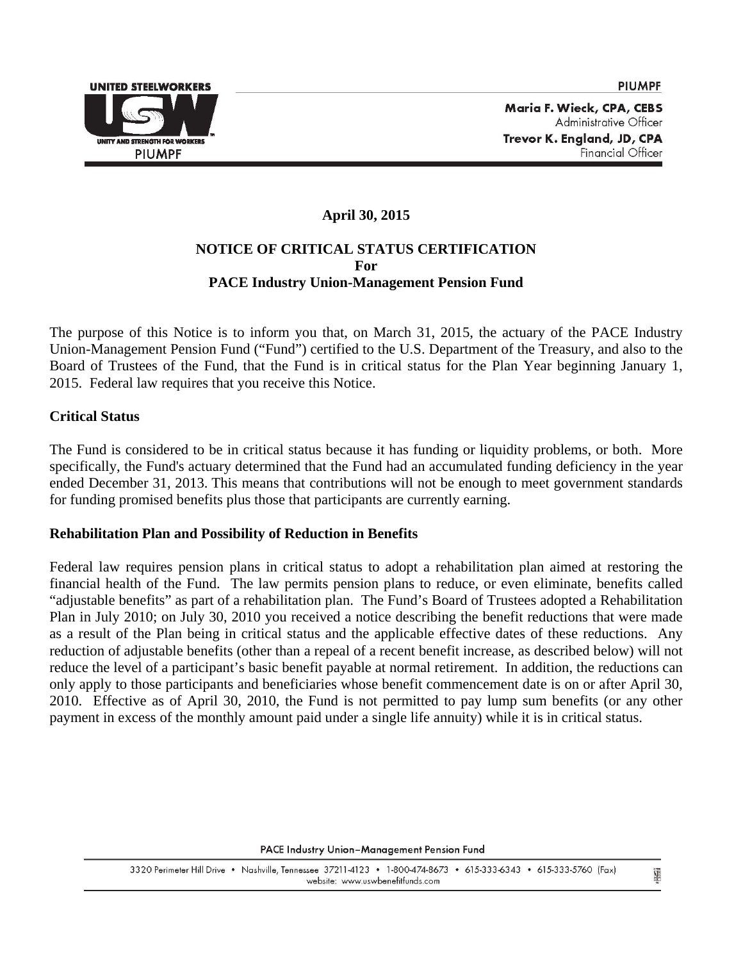

Ü

Maria F. Wieck, CPA, CEBS Administrative Officer Trevor K. England, JD, CPA Financial Officer

# **April 30, 2015 NOTICE OF CRITICAL STATUS CERTIFICATION For PACE Industry Union-Management Pension Fund**

The purpose of this Notice is to inform you that, on March 31, 2015, the actuary of the PACE Industry Union-Management Pension Fund ("Fund") certified to the U.S. Department of the Treasury, and also to the Board of Trustees of the Fund, that the Fund is in critical status for the Plan Year beginning January 1, 2015. Federal law requires that you receive this Notice.

## **Critical Status**

The Fund is considered to be in critical status because it has funding or liquidity problems, or both. More specifically, the Fund's actuary determined that the Fund had an accumulated funding deficiency in the year ended December 31, 2013. This means that contributions will not be enough to meet government standards for funding promised benefits plus those that participants are currently earning.

## **Rehabilitation Plan and Possibility of Reduction in Benefits**

Federal law requires pension plans in critical status to adopt a rehabilitation plan aimed at restoring the financial health of the Fund. The law permits pension plans to reduce, or even eliminate, benefits called "adjustable benefits" as part of a rehabilitation plan. The Fund's Board of Trustees adopted a Rehabilitation Plan in July 2010; on July 30, 2010 you received a notice describing the benefit reductions that were made as a result of the Plan being in critical status and the applicable effective dates of these reductions. Any reduction of adjustable benefits (other than a repeal of a recent benefit increase, as described below) will not reduce the level of a participant's basic benefit payable at normal retirement. In addition, the reductions can only apply to those participants and beneficiaries whose benefit commencement date is on or after April 30, 2010. Effective as of April 30, 2010, the Fund is not permitted to pay lump sum benefits (or any other payment in excess of the monthly amount paid under a single life annuity) while it is in critical status.

PACE Industry Union-Management Pension Fund